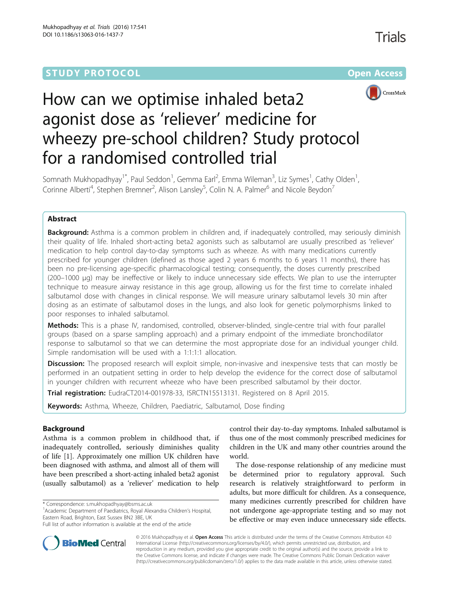# **STUDY PROTOCOL CONSUMING THE RESERVE ACCESS**



# How can we optimise inhaled beta2 agonist dose as 'reliever' medicine for wheezy pre-school children? Study protocol for a randomised controlled trial

Somnath Mukhopadhyay<sup>1\*</sup>, Paul Seddon<sup>1</sup>, Gemma Earl<sup>2</sup>, Emma Wileman<sup>3</sup>, Liz Symes<sup>1</sup>, Cathy Olden<sup>1</sup> , Corinne Alberti<sup>4</sup>, Stephen Bremner<sup>2</sup>, Alison Lansley<sup>5</sup>, Colin N. A. Palmer<sup>6</sup> and Nicole Beydon<sup>7</sup>

# Abstract

Background: Asthma is a common problem in children and, if inadequately controlled, may seriously diminish their quality of life. Inhaled short-acting beta2 agonists such as salbutamol are usually prescribed as 'reliever' medication to help control day-to-day symptoms such as wheeze. As with many medications currently prescribed for younger children (defined as those aged 2 years 6 months to 6 years 11 months), there has been no pre-licensing age-specific pharmacological testing; consequently, the doses currently prescribed (200–1000 μg) may be ineffective or likely to induce unnecessary side effects. We plan to use the interrupter technique to measure airway resistance in this age group, allowing us for the first time to correlate inhaled salbutamol dose with changes in clinical response. We will measure urinary salbutamol levels 30 min after dosing as an estimate of salbutamol doses in the lungs, and also look for genetic polymorphisms linked to poor responses to inhaled salbutamol.

Methods: This is a phase IV, randomised, controlled, observer-blinded, single-centre trial with four parallel groups (based on a sparse sampling approach) and a primary endpoint of the immediate bronchodilator response to salbutamol so that we can determine the most appropriate dose for an individual younger child. Simple randomisation will be used with a 1:1:1:1 allocation.

**Discussion:** The proposed research will exploit simple, non-invasive and inexpensive tests that can mostly be performed in an outpatient setting in order to help develop the evidence for the correct dose of salbutamol in younger children with recurrent wheeze who have been prescribed salbutamol by their doctor.

Trial registration: EudraCT2014-001978-33, ISRCTN15513131. Registered on 8 April 2015.

Keywords: Asthma, Wheeze, Children, Paediatric, Salbutamol, Dose finding

# **Background**

Asthma is a common problem in childhood that, if inadequately controlled, seriously diminishes quality of life [[1\]](#page-8-0). Approximately one million UK children have been diagnosed with asthma, and almost all of them will have been prescribed a short-acting inhaled beta2 agonist (usually salbutamol) as a 'reliever' medication to help

\* Correspondence: [s.mukhopadhyay@bsms.ac.uk](mailto:s.mukhopadhyay@bsms.ac.uk) <sup>1</sup>

<sup>1</sup> Academic Department of Paediatrics, Royal Alexandra Children's Hospital, Eastern Road, Brighton, East Sussex BN2 3BE, UK

control their day-to-day symptoms. Inhaled salbutamol is thus one of the most commonly prescribed medicines for children in the UK and many other countries around the world.

The dose-response relationship of any medicine must be determined prior to regulatory approval. Such research is relatively straightforward to perform in adults, but more difficult for children. As a consequence, many medicines currently prescribed for children have not undergone age-appropriate testing and so may not be effective or may even induce unnecessary side effects.



© 2016 Mukhopadhyay et al. Open Access This article is distributed under the terms of the Creative Commons Attribution 4.0 International License [\(http://creativecommons.org/licenses/by/4.0/](http://creativecommons.org/licenses/by/4.0/)), which permits unrestricted use, distribution, and reproduction in any medium, provided you give appropriate credit to the original author(s) and the source, provide a link to the Creative Commons license, and indicate if changes were made. The Creative Commons Public Domain Dedication waiver [\(http://creativecommons.org/publicdomain/zero/1.0/](http://creativecommons.org/publicdomain/zero/1.0/)) applies to the data made available in this article, unless otherwise stated.

Full list of author information is available at the end of the article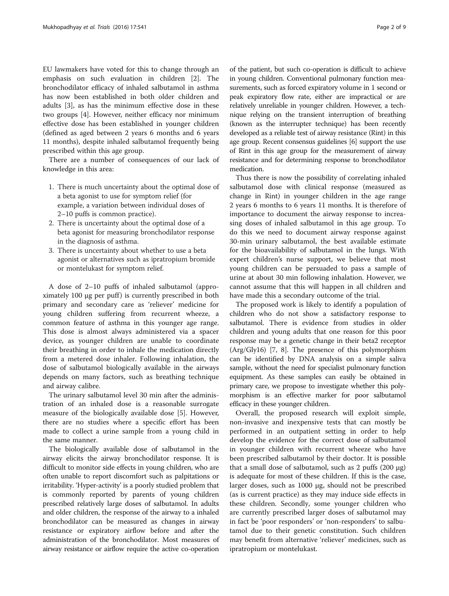EU lawmakers have voted for this to change through an emphasis on such evaluation in children [\[2](#page-8-0)]. The bronchodilator efficacy of inhaled salbutamol in asthma has now been established in both older children and adults [[3\]](#page-8-0), as has the minimum effective dose in these two groups [\[4](#page-8-0)]. However, neither efficacy nor minimum effective dose has been established in younger children (defined as aged between 2 years 6 months and 6 years 11 months), despite inhaled salbutamol frequently being prescribed within this age group.

There are a number of consequences of our lack of knowledge in this area:

- 1. There is much uncertainty about the optimal dose of a beta agonist to use for symptom relief (for example, a variation between individual doses of 2–10 puffs is common practice).
- 2. There is uncertainty about the optimal dose of a beta agonist for measuring bronchodilator response in the diagnosis of asthma.
- 3. There is uncertainty about whether to use a beta agonist or alternatives such as ipratropium bromide or montelukast for symptom relief.

A dose of 2–10 puffs of inhaled salbutamol (approximately 100  $\mu$ g per puff) is currently prescribed in both primary and secondary care as 'reliever' medicine for young children suffering from recurrent wheeze, a common feature of asthma in this younger age range. This dose is almost always administered via a spacer device, as younger children are unable to coordinate their breathing in order to inhale the medication directly from a metered dose inhaler. Following inhalation, the dose of salbutamol biologically available in the airways depends on many factors, such as breathing technique and airway calibre.

The urinary salbutamol level 30 min after the administration of an inhaled dose is a reasonable surrogate measure of the biologically available dose [\[5](#page-8-0)]. However, there are no studies where a specific effort has been made to collect a urine sample from a young child in the same manner.

The biologically available dose of salbutamol in the airway elicits the airway bronchodilator response. It is difficult to monitor side effects in young children, who are often unable to report discomfort such as palpitations or irritability. 'Hyper-activity' is a poorly studied problem that is commonly reported by parents of young children prescribed relatively large doses of salbutamol. In adults and older children, the response of the airway to a inhaled bronchodilator can be measured as changes in airway resistance or expiratory airflow before and after the administration of the bronchodilator. Most measures of airway resistance or airflow require the active co-operation

of the patient, but such co-operation is difficult to achieve in young children. Conventional pulmonary function measurements, such as forced expiratory volume in 1 second or peak expiratory flow rate, either are impractical or are relatively unreliable in younger children. However, a technique relying on the transient interruption of breathing (known as the interrupter technique) has been recently developed as a reliable test of airway resistance (Rint) in this age group. Recent consensus guidelines [\[6\]](#page-8-0) support the use of Rint in this age group for the measurement of airway resistance and for determining response to bronchodilator medication.

Thus there is now the possibility of correlating inhaled salbutamol dose with clinical response (measured as change in Rint) in younger children in the age range 2 years 6 months to 6 years 11 months. It is therefore of importance to document the airway response to increasing doses of inhaled salbutamol in this age group. To do this we need to document airway response against 30-min urinary salbutamol, the best available estimate for the bioavailability of salbutamol in the lungs. With expert children's nurse support, we believe that most young children can be persuaded to pass a sample of urine at about 30 min following inhalation. However, we cannot assume that this will happen in all children and have made this a secondary outcome of the trial.

The proposed work is likely to identify a population of children who do not show a satisfactory response to salbutamol. There is evidence from studies in older children and young adults that one reason for this poor response may be a genetic change in their beta2 receptor (Arg/Gly16) [\[7, 8\]](#page-8-0). The presence of this polymorphism can be identified by DNA analysis on a simple saliva sample, without the need for specialist pulmonary function equipment. As these samples can easily be obtained in primary care, we propose to investigate whether this polymorphism is an effective marker for poor salbutamol efficacy in these younger children.

Overall, the proposed research will exploit simple, non-invasive and inexpensive tests that can mostly be performed in an outpatient setting in order to help develop the evidence for the correct dose of salbutamol in younger children with recurrent wheeze who have been prescribed salbutamol by their doctor. It is possible that a small dose of salbutamol, such as 2 puffs  $(200 \mu g)$ is adequate for most of these children. If this is the case, larger doses, such as 1000 μg, should not be prescribed (as is current practice) as they may induce side effects in these children. Secondly, some younger children who are currently prescribed larger doses of salbutamol may in fact be 'poor responders' or 'non-responders' to salbutamol due to their genetic constitution. Such children may benefit from alternative 'reliever' medicines, such as ipratropium or montelukast.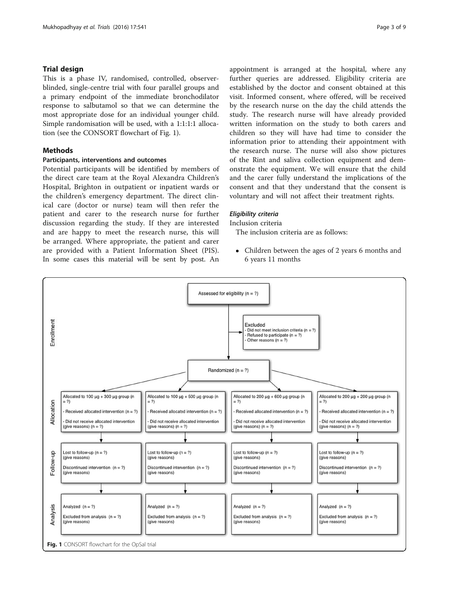#### Trial design

This is a phase IV, randomised, controlled, observerblinded, single-centre trial with four parallel groups and a primary endpoint of the immediate bronchodilator response to salbutamol so that we can determine the most appropriate dose for an individual younger child. Simple randomisation will be used, with a 1:1:1:1 allocation (see the CONSORT flowchart of Fig. 1).

#### Methods

#### Participants, interventions and outcomes

Potential participants will be identified by members of the direct care team at the Royal Alexandra Children's Hospital, Brighton in outpatient or inpatient wards or the children's emergency department. The direct clinical care (doctor or nurse) team will then refer the patient and carer to the research nurse for further discussion regarding the study. If they are interested and are happy to meet the research nurse, this will be arranged. Where appropriate, the patient and carer are provided with a Patient Information Sheet (PIS). In some cases this material will be sent by post. An

appointment is arranged at the hospital, where any further queries are addressed. Eligibility criteria are established by the doctor and consent obtained at this visit. Informed consent, where offered, will be received by the research nurse on the day the child attends the study. The research nurse will have already provided written information on the study to both carers and children so they will have had time to consider the information prior to attending their appointment with the research nurse. The nurse will also show pictures of the Rint and saliva collection equipment and demonstrate the equipment. We will ensure that the child and the carer fully understand the implications of the consent and that they understand that the consent is voluntary and will not affect their treatment rights.

# Inclusion criteria

The inclusion criteria are as follows:

 Children between the ages of 2 years 6 months and 6 years 11 months

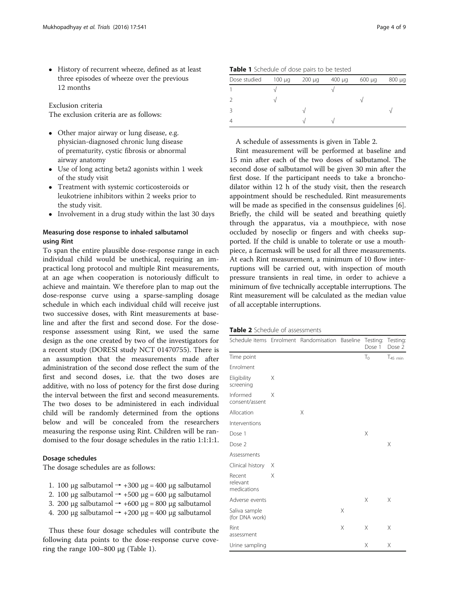History of recurrent wheeze, defined as at least three episodes of wheeze over the previous 12 months

Exclusion criteria

The exclusion criteria are as follows:

- Other major airway or lung disease, e.g. physician-diagnosed chronic lung disease of prematurity, cystic fibrosis or abnormal airway anatomy
- Use of long acting beta2 agonists within 1 week of the study visit
- Treatment with systemic corticosteroids or leukotriene inhibitors within 2 weeks prior to the study visit.
- Involvement in a drug study within the last 30 days

#### Measuring dose response to inhaled salbutamol using Rint

To span the entire plausible dose-response range in each individual child would be unethical, requiring an impractical long protocol and multiple Rint measurements, at an age when cooperation is notoriously difficult to achieve and maintain. We therefore plan to map out the dose-response curve using a sparse-sampling dosage schedule in which each individual child will receive just two successive doses, with Rint measurements at baseline and after the first and second dose. For the doseresponse assessment using Rint, we used the same design as the one created by two of the investigators for a recent study (DORESI study NCT 01470755). There is an assumption that the measurements made after administration of the second dose reflect the sum of the first and second doses, i.e. that the two doses are additive, with no loss of potency for the first dose during the interval between the first and second measurements. The two doses to be administered in each individual child will be randomly determined from the options below and will be concealed from the researchers measuring the response using Rint. Children will be randomised to the four dosage schedules in the ratio 1:1:1:1.

#### Dosage schedules

The dosage schedules are as follows:

- 1. 100 μg salbutamol  $\rightarrow$  +300 μg = 400 μg salbutamol
- 2. 100 μg salbutamol  $\rightarrow$  +500 μg = 600 μg salbutamol
- 3. 200 μg salbutamol → +600 μg = 800 μg salbutamol
- 4. 200 μg salbutamol  $\rightarrow$  +200 μg = 400 μg salbutamol

Thus these four dosage schedules will contribute the following data points to the dose-response curve covering the range 100–800 μg (Table 1).

| <b>Table 1</b> Schedule of dose pairs to be tested |
|----------------------------------------------------|
|----------------------------------------------------|

|              | .           |             |             |             |             |
|--------------|-------------|-------------|-------------|-------------|-------------|
| Dose studied | $100 \mu q$ | $200 \mu q$ | $400 \mu q$ | $600 \mu q$ | $800 \mu g$ |
|              |             |             |             |             |             |
|              |             |             |             |             |             |
|              |             |             |             |             |             |
|              |             |             |             |             |             |

A schedule of assessments is given in Table 2.

Rint measurement will be performed at baseline and 15 min after each of the two doses of salbutamol. The second dose of salbutamol will be given 30 min after the first dose. If the participant needs to take a bronchodilator within 12 h of the study visit, then the research appointment should be rescheduled. Rint measurements will be made as specified in the consensus guidelines [\[6](#page-8-0)]. Briefly, the child will be seated and breathing quietly through the apparatus, via a mouthpiece, with nose occluded by noseclip or fingers and with cheeks supported. If the child is unable to tolerate or use a mouthpiece, a facemask will be used for all three measurements. At each Rint measurement, a minimum of 10 flow interruptions will be carried out, with inspection of mouth pressure transients in real time, in order to achieve a minimum of five technically acceptable interruptions. The Rint measurement will be calculated as the median value of all acceptable interruptions.

| Table 2 Schedule of assessments |
|---------------------------------|
|---------------------------------|

|                                   |   | Schedule items Enrolment Randomisation Baseline Testing: Testing: |   | Dose 1         | Dose 2               |
|-----------------------------------|---|-------------------------------------------------------------------|---|----------------|----------------------|
| Time point                        |   |                                                                   |   | $\mathsf{T}_0$ | $T_{45 \text{ min}}$ |
| Enrolment                         |   |                                                                   |   |                |                      |
| Eligibility<br>screening          | Χ |                                                                   |   |                |                      |
| Informed<br>consent/assent        | Χ |                                                                   |   |                |                      |
| Allocation                        |   | Χ                                                                 |   |                |                      |
| Interventions                     |   |                                                                   |   |                |                      |
| Dose 1                            |   |                                                                   |   | X              |                      |
| Dose 2                            |   |                                                                   |   |                | X                    |
| Assessments                       |   |                                                                   |   |                |                      |
| Clinical history                  | Х |                                                                   |   |                |                      |
| Recent<br>relevant<br>medications | X |                                                                   |   |                |                      |
| Adverse events                    |   |                                                                   |   | X              | X                    |
| Saliva sample<br>(for DNA work)   |   |                                                                   | Χ |                |                      |
| Rint<br>assessment                |   |                                                                   | Χ | X              | X                    |
| Urine sampling                    |   |                                                                   |   | X              | X                    |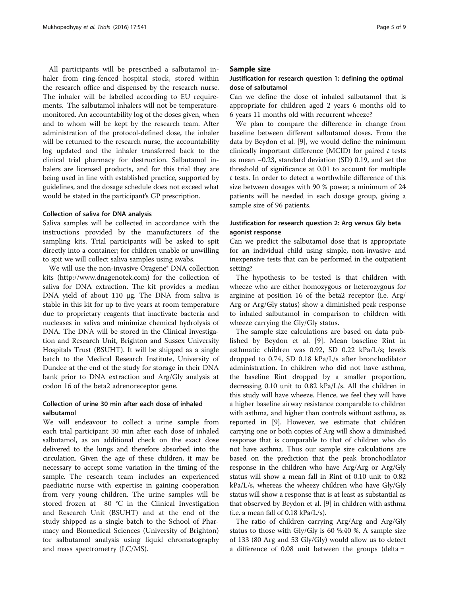All participants will be prescribed a salbutamol inhaler from ring-fenced hospital stock, stored within the research office and dispensed by the research nurse. The inhaler will be labelled according to EU requirements. The salbutamol inhalers will not be temperaturemonitored. An accountability log of the doses given, when and to whom will be kept by the research team. After administration of the protocol-defined dose, the inhaler will be returned to the research nurse, the accountability log updated and the inhaler transferred back to the clinical trial pharmacy for destruction. Salbutamol inhalers are licensed products, and for this trial they are being used in line with established practice, supported by guidelines, and the dosage schedule does not exceed what would be stated in the participant's GP prescription.

#### Collection of saliva for DNA analysis

Saliva samples will be collected in accordance with the instructions provided by the manufacturers of the sampling kits. Trial participants will be asked to spit directly into a container; for children unable or unwilling to spit we will collect saliva samples using swabs.

We will use the non-invasive Oragene® DNA collection kits [\(http://www.dnagenotek.com](http://www.dnagenotek.com/)) for the collection of saliva for DNA extraction. The kit provides a median DNA yield of about 110 μg. The DNA from saliva is stable in this kit for up to five years at room temperature due to proprietary reagents that inactivate bacteria and nucleases in saliva and minimize chemical hydrolysis of DNA. The DNA will be stored in the Clinical Investigation and Research Unit, Brighton and Sussex University Hospitals Trust (BSUHT). It will be shipped as a single batch to the Medical Research Institute, University of Dundee at the end of the study for storage in their DNA bank prior to DNA extraction and Arg/Gly analysis at codon 16 of the beta2 adrenoreceptor gene.

#### Collection of urine 30 min after each dose of inhaled salbutamol

We will endeavour to collect a urine sample from each trial participant 30 min after each dose of inhaled salbutamol, as an additional check on the exact dose delivered to the lungs and therefore absorbed into the circulation. Given the age of these children, it may be necessary to accept some variation in the timing of the sample. The research team includes an experienced paediatric nurse with expertise in gaining cooperation from very young children. The urine samples will be stored frozen at −80 °C in the Clinical Investigation and Research Unit (BSUHT) and at the end of the study shipped as a single batch to the School of Pharmacy and Biomedical Sciences (University of Brighton) for salbutamol analysis using liquid chromatography and mass spectrometry (LC/MS).

#### Sample size

# Justification for research question 1: defining the optimal dose of salbutamol

Can we define the dose of inhaled salbutamol that is appropriate for children aged 2 years 6 months old to 6 years 11 months old with recurrent wheeze?

We plan to compare the difference in change from baseline between different salbutamol doses. From the data by Beydon et al. [[9\]](#page-8-0), we would define the minimum clinically important difference (MCID) for paired  $t$  tests as mean −0.23, standard deviation (SD) 0.19, and set the threshold of significance at 0.01 to account for multiple t tests. In order to detect a worthwhile difference of this size between dosages with 90 % power, a minimum of 24 patients will be needed in each dosage group, giving a sample size of 96 patients.

# Justification for research question 2: Arg versus Gly beta agonist response

Can we predict the salbutamol dose that is appropriate for an individual child using simple, non-invasive and inexpensive tests that can be performed in the outpatient setting?

The hypothesis to be tested is that children with wheeze who are either homozygous or heterozygous for arginine at position 16 of the beta2 receptor (i.e. Arg/ Arg or Arg/Gly status) show a diminished peak response to inhaled salbutamol in comparison to children with wheeze carrying the Gly/Gly status.

The sample size calculations are based on data published by Beydon et al. [[9\]](#page-8-0). Mean baseline Rint in asthmatic children was 0.92, SD 0.22 kPa/L/s; levels dropped to 0.74, SD 0.18 kPa/L/s after bronchodilator administration. In children who did not have asthma, the baseline Rint dropped by a smaller proportion, decreasing 0.10 unit to 0.82 kPa/L/s. All the children in this study will have wheeze. Hence, we feel they will have a higher baseline airway resistance comparable to children with asthma, and higher than controls without asthma, as reported in [[9](#page-8-0)]. However, we estimate that children carrying one or both copies of Arg will show a diminished response that is comparable to that of children who do not have asthma. Thus our sample size calculations are based on the prediction that the peak bronchodilator response in the children who have Arg/Arg or Arg/Gly status will show a mean fall in Rint of 0.10 unit to 0.82 kPa/L/s, whereas the wheezy children who have Gly/Gly status will show a response that is at least as substantial as that observed by Beydon et al. [\[9\]](#page-8-0) in children with asthma (i.e. a mean fall of 0.18 kPa/L/s).

The ratio of children carrying Arg/Arg and Arg/Gly status to those with Gly/Gly is 60 %:40 %. A sample size of 133 (80 Arg and 53 Gly/Gly) would allow us to detect a difference of 0.08 unit between the groups (delta =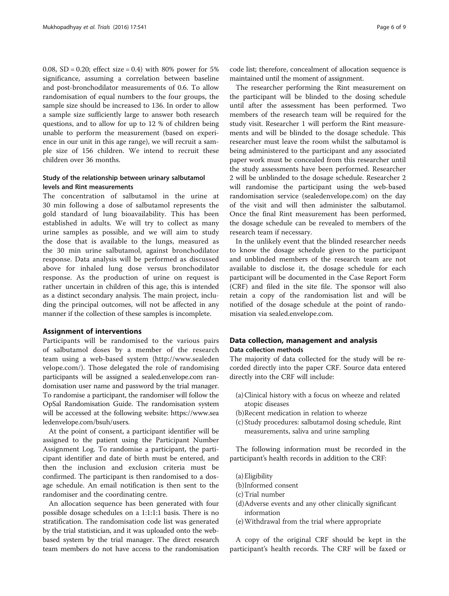0.08,  $SD = 0.20$ ; effect size = 0.4) with 80% power for 5% significance, assuming a correlation between baseline and post-bronchodilator measurements of 0.6. To allow randomisation of equal numbers to the four groups, the sample size should be increased to 136. In order to allow a sample size sufficiently large to answer both research questions, and to allow for up to 12 % of children being unable to perform the measurement (based on experience in our unit in this age range), we will recruit a sample size of 156 children. We intend to recruit these children over 36 months.

#### Study of the relationship between urinary salbutamol levels and Rint measurements

The concentration of salbutamol in the urine at 30 min following a dose of salbutamol represents the gold standard of lung bioavailability. This has been established in adults. We will try to collect as many urine samples as possible, and we will aim to study the dose that is available to the lungs, measured as the 30 min urine salbutamol, against bronchodilator response. Data analysis will be performed as discussed above for inhaled lung dose versus bronchodilator response. As the production of urine on request is rather uncertain in children of this age, this is intended as a distinct secondary analysis. The main project, including the principal outcomes, will not be affected in any manner if the collection of these samples is incomplete.

#### Assignment of interventions

Participants will be randomised to the various pairs of salbutamol doses by a member of the research team using a web-based system [\(http://www.sealeden](http://www.sealedenvelope.com/) [velope.com/](http://www.sealedenvelope.com/)). Those delegated the role of randomising participants will be assigned a sealed.envelope.com randomisation user name and password by the trial manager. To randomise a participant, the randomiser will follow the OpSal Randomisation Guide. The randomisation system will be accessed at the following website: [https://www.sea](https://www.sealedenvelope.com/bsuh/users) [ledenvelope.com/bsuh/users](https://www.sealedenvelope.com/bsuh/users).

At the point of consent, a participant identifier will be assigned to the patient using the Participant Number Assignment Log. To randomise a participant, the participant identifier and date of birth must be entered, and then the inclusion and exclusion criteria must be confirmed. The participant is then randomised to a dosage schedule. An email notification is then sent to the randomiser and the coordinating centre.

An allocation sequence has been generated with four possible dosage schedules on a 1:1:1:1 basis. There is no stratification. The randomisation code list was generated by the trial statistician, and it was uploaded onto the webbased system by the trial manager. The direct research team members do not have access to the randomisation code list; therefore, concealment of allocation sequence is maintained until the moment of assignment.

The researcher performing the Rint measurement on the participant will be blinded to the dosing schedule until after the assessment has been performed. Two members of the research team will be required for the study visit. Researcher 1 will perform the Rint measurements and will be blinded to the dosage schedule. This researcher must leave the room whilst the salbutamol is being administered to the participant and any associated paper work must be concealed from this researcher until the study assessments have been performed. Researcher 2 will be unblinded to the dosage schedule. Researcher 2 will randomise the participant using the web-based randomisation service (sealedenvelope.com) on the day of the visit and will then administer the salbutamol. Once the final Rint measurement has been performed, the dosage schedule can be revealed to members of the research team if necessary.

In the unlikely event that the blinded researcher needs to know the dosage schedule given to the participant and unblinded members of the research team are not available to disclose it, the dosage schedule for each participant will be documented in the Case Report Form (CRF) and filed in the site file. The sponsor will also retain a copy of the randomisation list and will be notified of the dosage schedule at the point of randomisation via sealed.envelope.com.

#### Data collection, management and analysis Data collection methods

The majority of data collected for the study will be recorded directly into the paper CRF. Source data entered directly into the CRF will include:

- (a)Clinical history with a focus on wheeze and related atopic diseases
- (b)Recent medication in relation to wheeze
- (c) Study procedures: salbutamol dosing schedule, Rint measurements, saliva and urine sampling

The following information must be recorded in the participant's health records in addition to the CRF:

- (a)Eligibility
- (b)Informed consent
- (c)Trial number
- (d)Adverse events and any other clinically significant information
- (e)Withdrawal from the trial where appropriate

A copy of the original CRF should be kept in the participant's health records. The CRF will be faxed or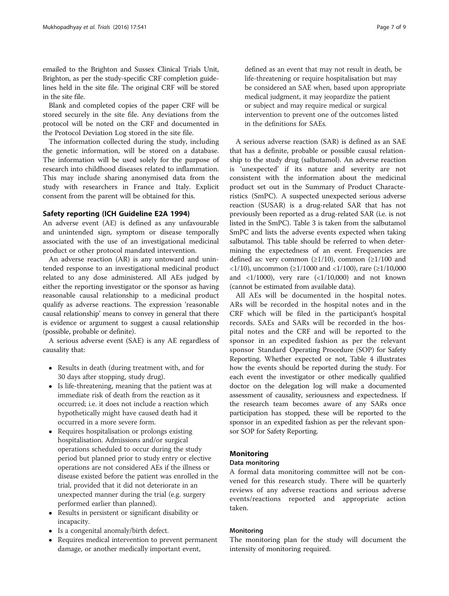emailed to the Brighton and Sussex Clinical Trials Unit, Brighton, as per the study-specific CRF completion guidelines held in the site file. The original CRF will be stored in the site file.

Blank and completed copies of the paper CRF will be stored securely in the site file. Any deviations from the protocol will be noted on the CRF and documented in the Protocol Deviation Log stored in the site file.

The information collected during the study, including the genetic information, will be stored on a database. The information will be used solely for the purpose of research into childhood diseases related to inflammation. This may include sharing anonymised data from the study with researchers in France and Italy. Explicit consent from the parent will be obtained for this.

#### Safety reporting (ICH Guideline E2A 1994)

An adverse event (AE) is defined as any unfavourable and unintended sign, symptom or disease temporally associated with the use of an investigational medicinal product or other protocol mandated intervention.

An adverse reaction (AR) is any untoward and unintended response to an investigational medicinal product related to any dose administered. All AEs judged by either the reporting investigator or the sponsor as having reasonable causal relationship to a medicinal product qualify as adverse reactions. The expression 'reasonable causal relationship' means to convey in general that there is evidence or argument to suggest a causal relationship (possible, probable or definite).

A serious adverse event (SAE) is any AE regardless of causality that:

- Results in death (during treatment with, and for 30 days after stopping, study drug).
- Is life-threatening, meaning that the patient was at immediate risk of death from the reaction as it occurred; i.e. it does not include a reaction which hypothetically might have caused death had it occurred in a more severe form.
- Requires hospitalisation or prolongs existing hospitalisation. Admissions and/or surgical operations scheduled to occur during the study period but planned prior to study entry or elective operations are not considered AEs if the illness or disease existed before the patient was enrolled in the trial, provided that it did not deteriorate in an unexpected manner during the trial (e.g. surgery performed earlier than planned).
- Results in persistent or significant disability or incapacity.
- Is a congenital anomaly/birth defect.
- Requires medical intervention to prevent permanent damage, or another medically important event,

defined as an event that may not result in death, be life-threatening or require hospitalisation but may be considered an SAE when, based upon appropriate medical judgment, it may jeopardize the patient or subject and may require medical or surgical intervention to prevent one of the outcomes listed in the definitions for SAEs.

A serious adverse reaction (SAR) is defined as an SAE that has a definite, probable or possible causal relationship to the study drug (salbutamol). An adverse reaction is 'unexpected' if its nature and severity are not consistent with the information about the medicinal product set out in the Summary of Product Characteristics (SmPC). A suspected unexpected serious adverse reaction (SUSAR) is a drug-related SAR that has not previously been reported as a drug-related SAR (i.e. is not listed in the SmPC). Table [3](#page-7-0) is taken from the salbutamol SmPC and lists the adverse events expected when taking salbutamol. This table should be referred to when determining the expectedness of an event. Frequencies are defined as: very common ( $\geq$ 1/10), common ( $\geq$ 1/100 and  $\langle 1/10 \rangle$ , uncommon ( $\geq 1/1000$  and  $\langle 1/100 \rangle$ , rare ( $\geq 1/10,000$ ) and  $\langle 1/1000 \rangle$ , very rare  $(\langle 1/10,000 \rangle)$  and not known (cannot be estimated from available data).

All AEs will be documented in the hospital notes. ARs will be recorded in the hospital notes and in the CRF which will be filed in the participant's hospital records. SAEs and SARs will be recorded in the hospital notes and the CRF and will be reported to the sponsor in an expedited fashion as per the relevant sponsor Standard Operating Procedure (SOP) for Safety Reporting. Whether expected or not, Table [4](#page-7-0) illustrates how the events should be reported during the study. For each event the investigator or other medically qualified doctor on the delegation log will make a documented assessment of causality, seriousness and expectedness. If the research team becomes aware of any SARs once participation has stopped, these will be reported to the sponsor in an expedited fashion as per the relevant sponsor SOP for Safety Reporting.

### Monitoring

#### Data monitoring

A formal data monitoring committee will not be convened for this research study. There will be quarterly reviews of any adverse reactions and serious adverse events/reactions reported and appropriate action taken.

#### Monitoring

The monitoring plan for the study will document the intensity of monitoring required.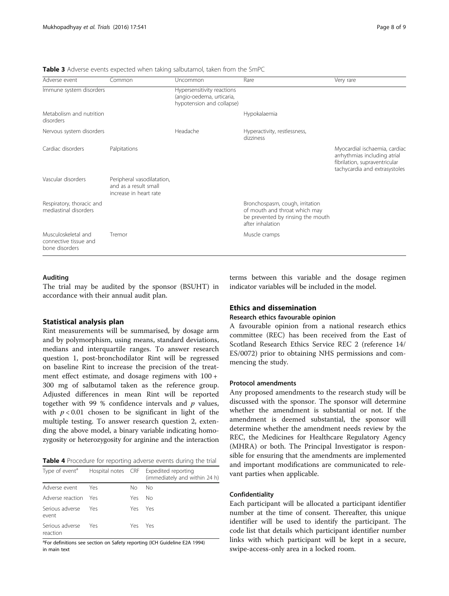| Adverse event                                      | Common                                                                        | Uncommon                                                                             | Rare                                                                                                                      | Very rare                                                                                                                       |
|----------------------------------------------------|-------------------------------------------------------------------------------|--------------------------------------------------------------------------------------|---------------------------------------------------------------------------------------------------------------------------|---------------------------------------------------------------------------------------------------------------------------------|
| Immune system disorders                            |                                                                               | Hypersensitivity reactions<br>(angio-oedema, urticaria,<br>hypotension and collapse) |                                                                                                                           |                                                                                                                                 |
| Metabolism and nutrition<br>disorders              |                                                                               |                                                                                      | Hypokalaemia                                                                                                              |                                                                                                                                 |
| Nervous system disorders                           |                                                                               | Headache                                                                             | Hyperactivity, restlessness,<br>dizziness                                                                                 |                                                                                                                                 |
| Cardiac disorders                                  | Palpitations                                                                  |                                                                                      |                                                                                                                           | Myocardial ischaemia, cardiac<br>arrhythmias including atrial<br>fibrilation, supraventricular<br>tachycardia and extrasystoles |
| Vascular disorders                                 | Peripheral vasodilatation,<br>and as a result small<br>increase in heart rate |                                                                                      |                                                                                                                           |                                                                                                                                 |
| Respiratory, thoracic and<br>mediastinal disorders |                                                                               |                                                                                      | Bronchospasm, cough, irritation<br>of mouth and throat which may<br>be prevented by rinsing the mouth<br>after inhalation |                                                                                                                                 |
| Musculoskeletal and<br>connective tissue and       | Tremor                                                                        |                                                                                      | Muscle cramps                                                                                                             |                                                                                                                                 |

<span id="page-7-0"></span>Table 3 Adverse events expected when taking salbutamol, taken from the SmPC

#### Auditing

bone disorders

The trial may be audited by the sponsor (BSUHT) in accordance with their annual audit plan.

#### Statistical analysis plan

Rint measurements will be summarised, by dosage arm and by polymorphism, using means, standard deviations, medians and interquartile ranges. To answer research question 1, post-bronchodilator Rint will be regressed on baseline Rint to increase the precision of the treatment effect estimate, and dosage regimens with 100 + 300 mg of salbutamol taken as the reference group. Adjusted differences in mean Rint will be reported together with 99 % confidence intervals and  $p$  values, with  $p < 0.01$  chosen to be significant in light of the multiple testing. To answer research question 2, extending the above model, a binary variable indicating homozygosity or heterozygosity for arginine and the interaction

Table 4 Procedure for reporting adverse events during the trial

|                             |     |         | Type of event <sup>a</sup> Hospital notes CRF Expedited reporting<br>(immediately and within 24 h) |
|-----------------------------|-----|---------|----------------------------------------------------------------------------------------------------|
| Adverse event Yes           |     | No.     | - No                                                                                               |
| Adverse reaction Yes        |     | Yes     | – No                                                                                               |
| Serious adverse<br>event    | Yes | Yes Yes |                                                                                                    |
| Serious adverse<br>reaction | Yes | Yes Yes |                                                                                                    |

<sup>a</sup>For definitions see section on Safety reporting (ICH Guideline E2A 1994) in main text

terms between this variable and the dosage regimen indicator variables will be included in the model.

#### Ethics and dissemination

#### Research ethics favourable opinion

A favourable opinion from a national research ethics committee (REC) has been received from the East of Scotland Research Ethics Service REC 2 (reference 14/ ES/0072) prior to obtaining NHS permissions and commencing the study.

#### Protocol amendments

Any proposed amendments to the research study will be discussed with the sponsor. The sponsor will determine whether the amendment is substantial or not. If the amendment is deemed substantial, the sponsor will determine whether the amendment needs review by the REC, the Medicines for Healthcare Regulatory Agency (MHRA) or both. The Principal Investigator is responsible for ensuring that the amendments are implemented and important modifications are communicated to relevant parties when applicable.

#### Confidentiality

Each participant will be allocated a participant identifier number at the time of consent. Thereafter, this unique identifier will be used to identify the participant. The code list that details which participant identifier number links with which participant will be kept in a secure, swipe-access-only area in a locked room.